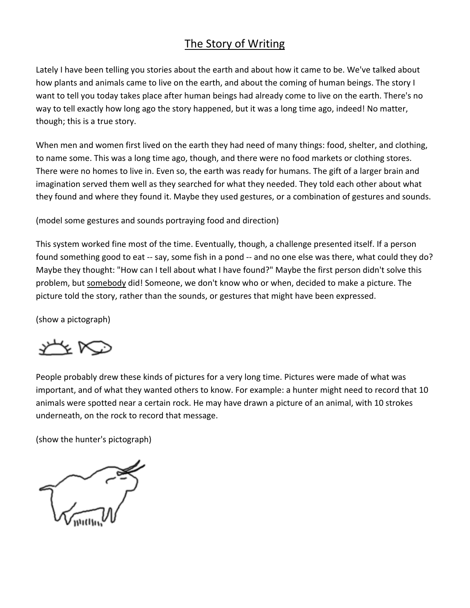## The Story of Writing

Lately I have been telling you stories about the earth and about how it came to be. We've talked about how plants and animals came to live on the earth, and about the coming of human beings. The story I want to tell you today takes place after human beings had already come to live on the earth. There's no way to tell exactly how long ago the story happened, but it was a long time ago, indeed! No matter, though; this is a true story.

When men and women first lived on the earth they had need of many things: food, shelter, and clothing, to name some. This was a long time ago, though, and there were no food markets or clothing stores. There were no homes to live in. Even so, the earth was ready for humans. The gift of a larger brain and imagination served them well as they searched for what they needed. They told each other about what they found and where they found it. Maybe they used gestures, or a combination of gestures and sounds.

(model some gestures and sounds portraying food and direction)

This system worked fine most of the time. Eventually, though, a challenge presented itself. If a person found something good to eat -- say, some fish in a pond -- and no one else was there, what could they do? Maybe they thought: "How can I tell about what I have found?" Maybe the first person didn't solve this problem, but somebody did! Someone, we don't know who or when, decided to make a picture. The picture told the story, rather than the sounds, or gestures that might have been expressed.

(show a pictograph)

<u>YY NO</u>

People probably drew these kinds of pictures for a very long time. Pictures were made of what was important, and of what they wanted others to know. For example: a hunter might need to record that 10 animals were spotted near a certain rock. He may have drawn a picture of an animal, with 10 strokes underneath, on the rock to record that message.

(show the hunter's pictograph)

 $\sim$   $\sim$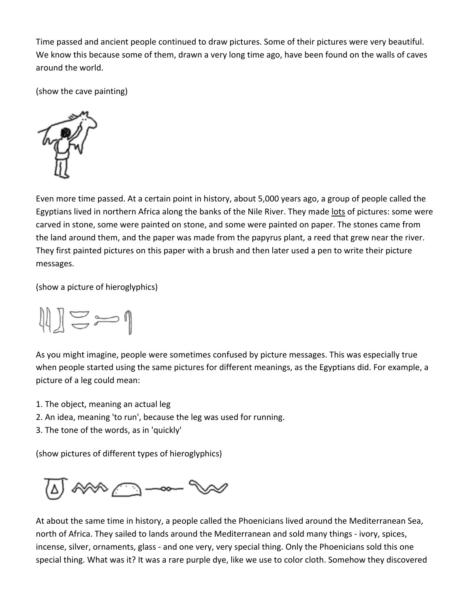Time passed and ancient people continued to draw pictures. Some of their pictures were very beautiful. We know this because some of them, drawn a very long time ago, have been found on the walls of caves around the world.

(show the cave painting)



Even more time passed. At a certain point in history, about 5,000 years ago, a group of people called the Egyptians lived in northern Africa along the banks of the Nile River. They made lots of pictures: some were carved in stone, some were painted on stone, and some were painted on paper. The stones came from the land around them, and the paper was made from the papyrus plant, a reed that grew near the river. They first painted pictures on this paper with a brush and then later used a pen to write their picture messages.

(show a picture of hieroglyphics)



As you might imagine, people were sometimes confused by picture messages. This was especially true when people started using the same pictures for different meanings, as the Egyptians did. For example, a picture of a leg could mean:

- 1. The object, meaning an actual leg
- 2. An idea, meaning 'to run', because the leg was used for running.
- 3. The tone of the words, as in 'quickly'

(show pictures of different types of hieroglyphics)



At about the same time in history, a people called the Phoenicians lived around the Mediterranean Sea, north of Africa. They sailed to lands around the Mediterranean and sold many things - ivory, spices, incense, silver, ornaments, glass - and one very, very special thing. Only the Phoenicians sold this one special thing. What was it? It was a rare purple dye, like we use to color cloth. Somehow they discovered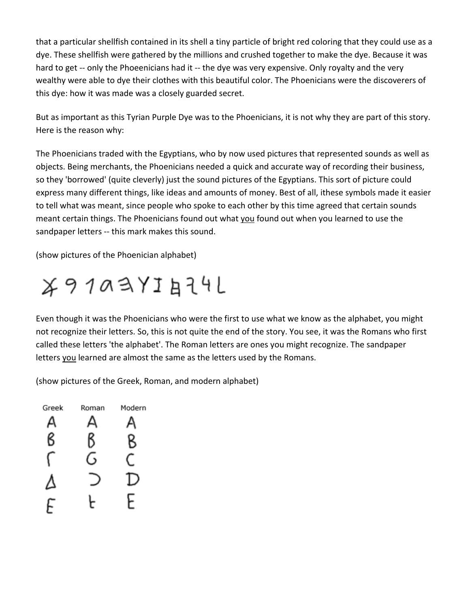that a particular shellfish contained in its shell a tiny particle of bright red coloring that they could use as a dye. These shellfish were gathered by the millions and crushed together to make the dye. Because it was hard to get -- only the Phoeenicians had it -- the dye was very expensive. Only royalty and the very wealthy were able to dye their clothes with this beautiful color. The Phoenicians were the discoverers of this dye: how it was made was a closely guarded secret.

But as important as this Tyrian Purple Dye was to the Phoenicians, it is not why they are part of this story. Here is the reason why:

The Phoenicians traded with the Egyptians, who by now used pictures that represented sounds as well as objects. Being merchants, the Phoenicians needed a quick and accurate way of recording their business, so they 'borrowed' (quite cleverly) just the sound pictures of the Egyptians. This sort of picture could express many different things, like ideas and amounts of money. Best of all, ithese symbols made it easier to tell what was meant, since people who spoke to each other by this time agreed that certain sounds meant certain things. The Phoenicians found out what you found out when you learned to use the sandpaper letters -- this mark makes this sound.

(show pictures of the Phoenician alphabet)



Even though it was the Phoenicians who were the first to use what we know as the alphabet, you might not recognize their letters. So, this is not quite the end of the story. You see, it was the Romans who first called these letters 'the alphabet'. The Roman letters are ones you might recognize. The sandpaper letters you learned are almost the same as the letters used by the Romans.

(show pictures of the Greek, Roman, and modern alphabet)